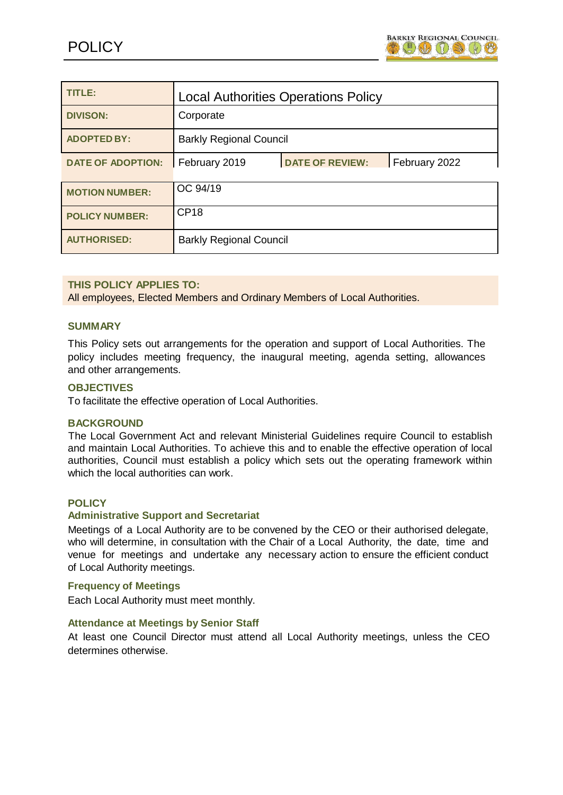

| TITLE:                   | <b>Local Authorities Operations Policy</b>               |
|--------------------------|----------------------------------------------------------|
| <b>DIVISON:</b>          | Corporate                                                |
| <b>ADOPTED BY:</b>       | <b>Barkly Regional Council</b>                           |
| <b>DATE OF ADOPTION:</b> | <b>DATE OF REVIEW:</b><br>February 2019<br>February 2022 |
| <b>MOTION NUMBER:</b>    | OC 94/19                                                 |
| <b>POLICY NUMBER:</b>    | <b>CP18</b>                                              |
| <b>AUTHORISED:</b>       | <b>Barkly Regional Council</b>                           |

### **THIS POLICY APPLIES TO:**

All employees, Elected Members and Ordinary Members of Local Authorities.

#### **SUMMARY**

This Policy sets out arrangements for the operation and support of Local Authorities. The policy includes meeting frequency, the inaugural meeting, agenda setting, allowances and other arrangements.

#### **OBJECTIVES**

To facilitate the effective operation of Local Authorities.

#### **BACKGROUND**

The Local Government Act and relevant Ministerial Guidelines require Council to establish and maintain Local Authorities. To achieve this and to enable the effective operation of local authorities, Council must establish a policy which sets out the operating framework within which the local authorities can work.

#### **POLICY**

#### **Administrative Support and Secretariat**

Meetings of a Local Authority are to be convened by the CEO or their authorised delegate, who will determine, in consultation with the Chair of a Local Authority, the date, time and venue for meetings and undertake any necessary action to ensure the efficient conduct of Local Authority meetings.

#### **Frequency of Meetings**

Each Local Authority must meet monthly.

#### **Attendance at Meetings by Senior Staff**

At least one Council Director must attend all Local Authority meetings, unless the CEO determines otherwise.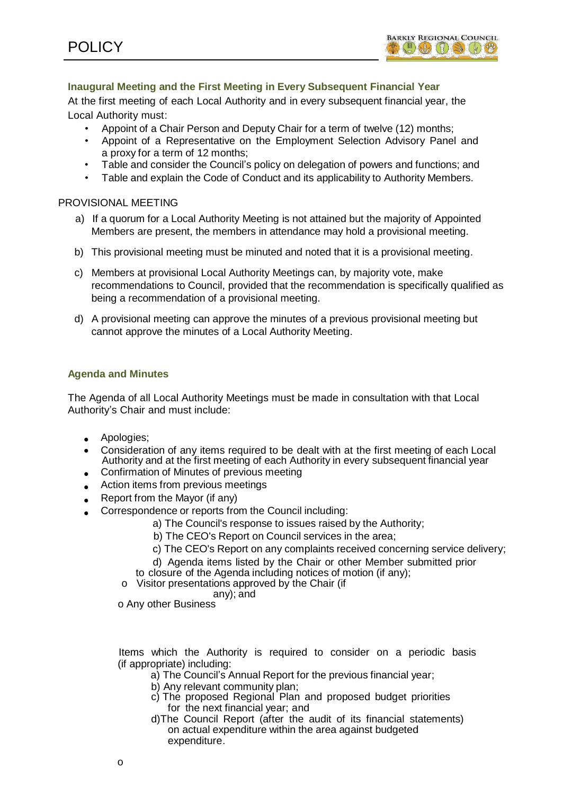

# **Inaugural Meeting and the First Meeting in Every Subsequent Financial Year**

At the first meeting of each Local Authority and in every subsequent financial year, the Local Authority must:

- Appoint of a Chair Person and Deputy Chair for a term of twelve (12) months;
- Appoint of a Representative on the Employment Selection Advisory Panel and a proxy for a term of 12 months;
- Table and consider the Council's policy on delegation of powers and functions; and
- Table and explain the Code of Conduct and its applicability to Authority Members.

#### PROVISIONAL MEETING

- a) If a quorum for a Local Authority Meeting is not attained but the majority of Appointed Members are present, the members in attendance may hold a provisional meeting.
- b) This provisional meeting must be minuted and noted that it is a provisional meeting.
- c) Members at provisional Local Authority Meetings can, by majority vote, make recommendations to Council, provided that the recommendation is specifically qualified as being a recommendation of a provisional meeting.
- d) A provisional meeting can approve the minutes of a previous provisional meeting but cannot approve the minutes of a Local Authority Meeting.

#### **Agenda and Minutes**

The Agenda of all Local Authority Meetings must be made in consultation with that Local Authority's Chair and must include:

- Apologies;
- Consideration of any items required to be dealt with at the first meeting of each Local Authority and at the first meeting of each Authority in every subsequent financial year
- **Confirmation of Minutes of previous meeting**
- Action items from previous meetings
- Report from the Mayor (if any)
- Correspondence or reports from the Council including:
	- a) The Council's response to issues raised by the Authority;
	- b) The CEO's Report on Council services in the area;
	- c) The CEO's Report on any complaints received concerning service delivery;
	- d) Agenda items listed by the Chair or other Member submitted prior
	- to closure of the Agenda including notices of motion (if any);
	- o Visitor presentations approved by the Chair (if
	- any); and

o Any other Business

Items which the Authority is required to consider on a periodic basis (if appropriate) including:

- a) The Council's Annual Report for the previous financial year;
- b) Any relevant community plan;
- c) The proposed Regional Plan and proposed budget priorities for the next financial year; and
- d)The Council Report (after the audit of its financial statements) on actual expenditure within the area against budgeted expenditure.